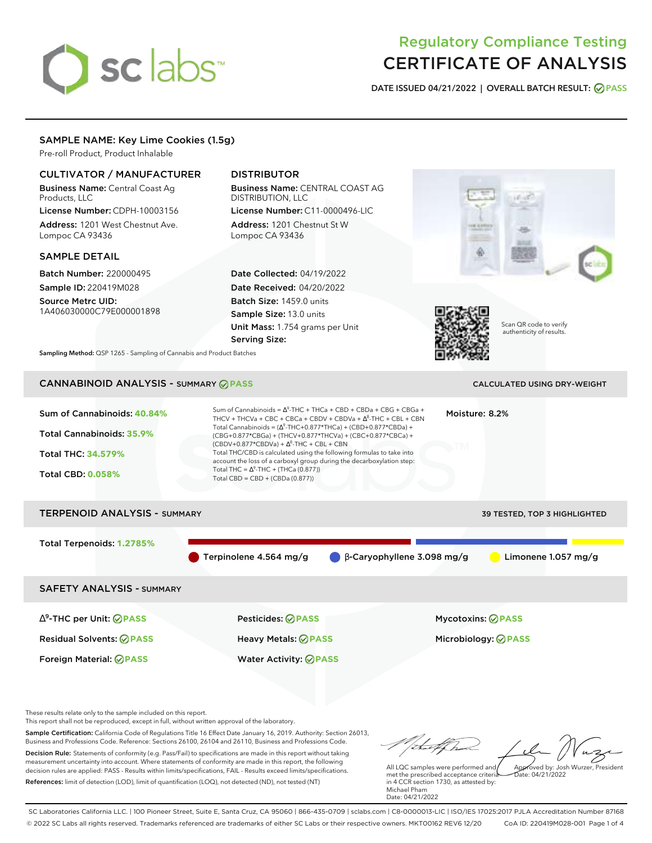# sclabs<sup>\*</sup>

# Regulatory Compliance Testing CERTIFICATE OF ANALYSIS

**DATE ISSUED 04/21/2022 | OVERALL BATCH RESULT: PASS**

# SAMPLE NAME: Key Lime Cookies (1.5g)

Pre-roll Product, Product Inhalable

# CULTIVATOR / MANUFACTURER

Business Name: Central Coast Ag Products, LLC

License Number: CDPH-10003156 Address: 1201 West Chestnut Ave. Lompoc CA 93436

# SAMPLE DETAIL

Batch Number: 220000495 Sample ID: 220419M028

Source Metrc UID: 1A406030000C79E000001898

# DISTRIBUTOR

Business Name: CENTRAL COAST AG DISTRIBUTION, LLC License Number: C11-0000496-LIC

Address: 1201 Chestnut St W Lompoc CA 93436

Date Collected: 04/19/2022 Date Received: 04/20/2022 Batch Size: 1459.0 units Sample Size: 13.0 units Unit Mass: 1.754 grams per Unit Serving Size:





Scan QR code to verify authenticity of results.

**Sampling Method:** QSP 1265 - Sampling of Cannabis and Product Batches

# CANNABINOID ANALYSIS - SUMMARY **PASS** CALCULATED USING DRY-WEIGHT

| Sum of Cannabinoids: 40.84%<br>Total Cannabinoids: 35.9%<br><b>Total THC: 34.579%</b><br><b>Total CBD: 0.058%</b> | Sum of Cannabinoids = $\Delta^9$ -THC + THCa + CBD + CBDa + CBG + CBGa +<br>THCV + THCVa + CBC + CBCa + CBDV + CBDVa + $\Lambda^8$ -THC + CBL + CBN<br>Total Cannabinoids = $(\Delta^9$ -THC+0.877*THCa) + (CBD+0.877*CBDa) +<br>(CBG+0.877*CBGa) + (THCV+0.877*THCVa) + (CBC+0.877*CBCa) +<br>$(CBDV+0.877*CBDVa) + \Delta^8$ -THC + CBL + CBN<br>Total THC/CBD is calculated using the following formulas to take into<br>account the loss of a carboxyl group during the decarboxylation step:<br>Total THC = $\Delta^9$ -THC + (THCa (0.877))<br>Total CBD = CBD + (CBDa (0.877)) | Moisture: 8.2%<br>TМ                         |                              |
|-------------------------------------------------------------------------------------------------------------------|---------------------------------------------------------------------------------------------------------------------------------------------------------------------------------------------------------------------------------------------------------------------------------------------------------------------------------------------------------------------------------------------------------------------------------------------------------------------------------------------------------------------------------------------------------------------------------------|----------------------------------------------|------------------------------|
| <b>TERPENOID ANALYSIS - SUMMARY</b>                                                                               |                                                                                                                                                                                                                                                                                                                                                                                                                                                                                                                                                                                       |                                              | 39 TESTED, TOP 3 HIGHLIGHTED |
| Total Terpenoids: 1.2785%                                                                                         | Terpinolene 4.564 mg/g                                                                                                                                                                                                                                                                                                                                                                                                                                                                                                                                                                | $\bigcirc$ $\beta$ -Caryophyllene 3.098 mg/g | Limonene 1.057 mg/g          |
| <b>SAFETY ANALYSIS - SUMMARY</b>                                                                                  |                                                                                                                                                                                                                                                                                                                                                                                                                                                                                                                                                                                       |                                              |                              |
| $\Delta^9$ -THC per Unit: $\oslash$ PASS<br><b>Residual Solvents: ⊘PASS</b>                                       | <b>Pesticides: ⊘ PASS</b><br>Heavy Metals: @PASS                                                                                                                                                                                                                                                                                                                                                                                                                                                                                                                                      | <b>Mycotoxins: ⊘PASS</b>                     | Microbiology: <b>⊘PASS</b>   |

These results relate only to the sample included on this report.

This report shall not be reproduced, except in full, without written approval of the laboratory.

Sample Certification: California Code of Regulations Title 16 Effect Date January 16, 2019. Authority: Section 26013, Business and Professions Code. Reference: Sections 26100, 26104 and 26110, Business and Professions Code. Decision Rule: Statements of conformity (e.g. Pass/Fail) to specifications are made in this report without taking measurement uncertainty into account. Where statements of conformity are made in this report, the following decision rules are applied: PASS - Results within limits/specifications, FAIL - Results exceed limits/specifications.

Foreign Material: **PASS** Water Activity: **PASS**

References: limit of detection (LOD), limit of quantification (LOQ), not detected (ND), not tested (NT)

tu of h Approved by: Josh Wurzer, President

Date: 04/21/2022

All LQC samples were performed and met the prescribed acceptance criteria in 4 CCR section 1730, as attested by: Michael Pham Date: 04/21/2022

SC Laboratories California LLC. | 100 Pioneer Street, Suite E, Santa Cruz, CA 95060 | 866-435-0709 | sclabs.com | C8-0000013-LIC | ISO/IES 17025:2017 PJLA Accreditation Number 87168 © 2022 SC Labs all rights reserved. Trademarks referenced are trademarks of either SC Labs or their respective owners. MKT00162 REV6 12/20 CoA ID: 220419M028-001 Page 1 of 4